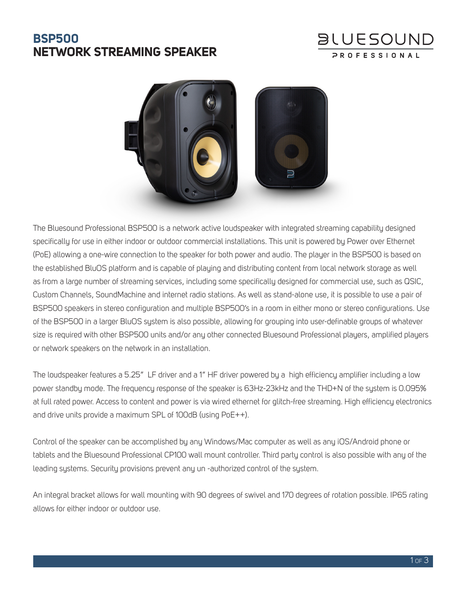## **BSP500 NETWORK STREAMING SPEAKER**

# **BLUESOUND**



The Bluesound Professional BSP500 is a network active loudspeaker with integrated streaming capability designed specifically for use in either indoor or outdoor commercial installations. This unit is powered by Power over Ethernet (PoE) allowing a one-wire connection to the speaker for both power and audio. The player in the BSP500 is based on the established BluOS platform and is capable of playing and distributing content from local network storage as well as from a large number of streaming services, including some specifically designed for commercial use, such as QSIC, Custom Channels, SoundMachine and internet radio stations. As well as stand-alone use, it is possible to use a pair of BSP500 speakers in stereo configuration and multiple BSP500's in a room in either mono or stereo configurations. Use of the BSP500 in a larger BluOS system is also possible, allowing for grouping into user-definable groups of whatever size is required with other BSP500 units and/or any other connected Bluesound Professional players, amplified players or network speakers on the network in an installation.

The loudspeaker features a 5.25" LF driver and a 1" HF driver powered by a high efficiency amplifier including a low power standby mode. The frequency response of the speaker is 63Hz-23kHz and the THD+N of the system is 0.095% at full rated power. Access to content and power is via wired ethernet for glitch-free streaming. High efficiency electronics and drive units provide a maximum SPL of 100dB (using PoE++).

Control of the speaker can be accomplished by any Windows/Mac computer as well as any iOS/Android phone or tablets and the Bluesound Professional CP100 wall mount controller. Third party control is also possible with any of the leading systems. Security provisions prevent any un -authorized control of the system.

An integral bracket allows for wall mounting with 90 degrees of swivel and 170 degrees of rotation possible. IP65 rating allows for either indoor or outdoor use.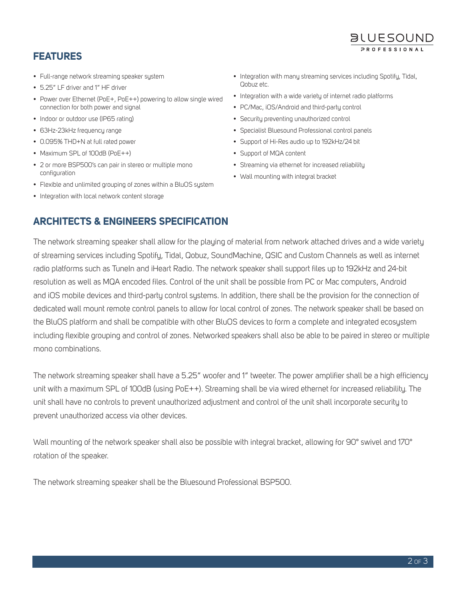#### **FEATURES**

- Full-range network streaming speaker system
- 5.25" LF driver and 1" HF driver
- Power over Ethernet (PoE+, PoE++) powering to allow single wired connection for both power and signal
- Indoor or outdoor use (IP65 rating)
- 63Hz-23kHz frequency range
- 0.095% THD+N at full rated power
- Maximum SPL of 100dB (PoE++)
- 2 or more BSP500's can pair in stereo or multiple mono configuration
- Flexible and unlimited grouping of zones within a BluOS system
- Integration with local network content storage

• Integration with many streaming services including Spotify, Tidal, Qobuz etc.

**BLUESOUND** PROFESSIONA

- Integration with a wide variety of internet radio platforms
- PC/Mac, iOS/Android and third-party control
- Security preventing unauthorized control
- Specialist Bluesound Professional control panels
- Support of Hi-Res audio up to 192kHz/24 bit
- Support of MQA content
- Streaming via ethernet for increased reliability
- Wall mounting with integral bracket

#### **ARCHITECTS & ENGINEERS SPECIFICATION**

The network streaming speaker shall allow for the playing of material from network attached drives and a wide variety of streaming services including Spotify, Tidal, Qobuz, SoundMachine, QSIC and Custom Channels as well as internet radio platforms such as TuneIn and iHeart Radio. The network speaker shall support files up to 192kHz and 24-bit resolution as well as MQA encoded files. Control of the unit shall be possible from PC or Mac computers, Android and iOS mobile devices and third-party control systems. In addition, there shall be the provision for the connection of dedicated wall mount remote control panels to allow for local control of zones. The network speaker shall be based on the BluOS platform and shall be compatible with other BluOS devices to form a complete and integrated ecosystem including flexible grouping and control of zones. Networked speakers shall also be able to be paired in stereo or multiple mono combinations.

The network streaming speaker shall have a 5.25" woofer and 1" tweeter. The power amplifier shall be a high efficiency unit with a maximum SPL of 100dB (using PoE++). Streaming shall be via wired ethernet for increased reliability. The unit shall have no controls to prevent unauthorized adjustment and control of the unit shall incorporate security to prevent unauthorized access via other devices.

Wall mounting of the network speaker shall also be possible with integral bracket, allowing for 90° swivel and 170° rotation of the speaker.

The network streaming speaker shall be the Bluesound Professional BSP500.